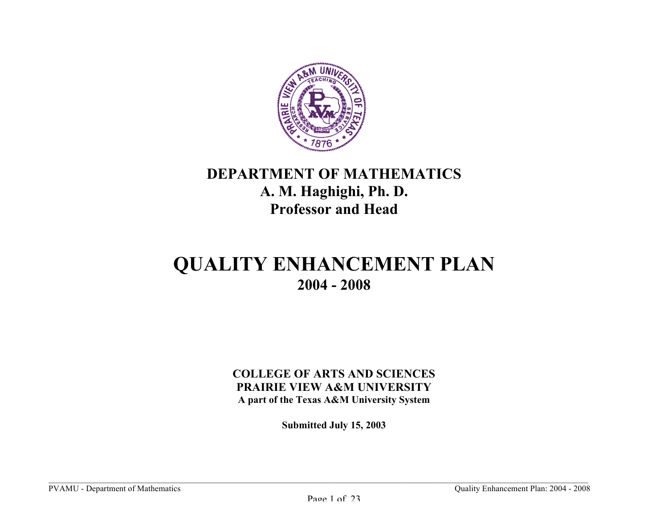

## **DEPARTMENT OF MATHEMATICS A. M. Haghighi, Ph. D. Professor and Head**

# **QUALITY ENHANCEMENT PLAN 2004 - 2008**

### **COLLEGE OF ARTS AND SCIENCES PRAIRIE VIEW A&M UNIVERSITY A part of the Texas A&M University System**

**Submitted July 15, 2003**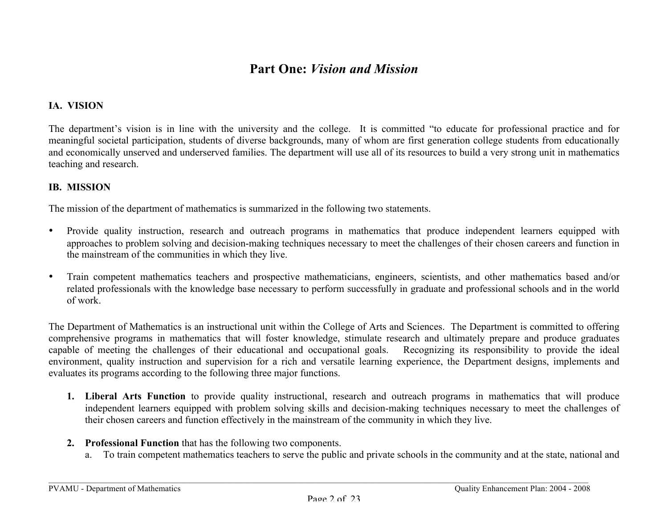## **Part One:** *Vision and Mission*

#### **IA. VISION**

The department's vision is in line with the university and the college. It is committed "to educate for professional practice and for meaningful societal participation, students of diverse backgrounds, many of whom are first generation college students from educationally and economically unserved and underserved families. The department will use all of its resources to build a very strong unit in mathematics teaching and research.

#### **IB. MISSION**

The mission of the department of mathematics is summarized in the following two statements.

- Provide quality instruction, research and outreach programs in mathematics that produce independent learners equipped with approaches to problem solving and decision-making techniques necessary to meet the challenges of their chosen careers and function in the mainstream of the communities in which they live.
- Train competent mathematics teachers and prospective mathematicians, engineers, scientists, and other mathematics based and/or related professionals with the knowledge base necessary to perform successfully in graduate and professional schools and in the world of work.

The Department of Mathematics is an instructional unit within the College of Arts and Sciences. The Department is committed to offering comprehensive programs in mathematics that will foster knowledge, stimulate research and ultimately prepare and produce graduates capable of meeting the challenges of their educational and occupational goals. Recognizing its responsibility to provide the ideal environment, quality instruction and supervision for a rich and versatile learning experience, the Department designs, implements and evaluates its programs according to the following three major functions.

- **1. Liberal Arts Function** to provide quality instructional, research and outreach programs in mathematics that will produce independent learners equipped with problem solving skills and decision-making techniques necessary to meet the challenges of their chosen careers and function effectively in the mainstream of the community in which they live.
- **2. Professional Function** that has the following two components.
	- a. To train competent mathematics teachers to serve the public and private schools in the community and at the state, national and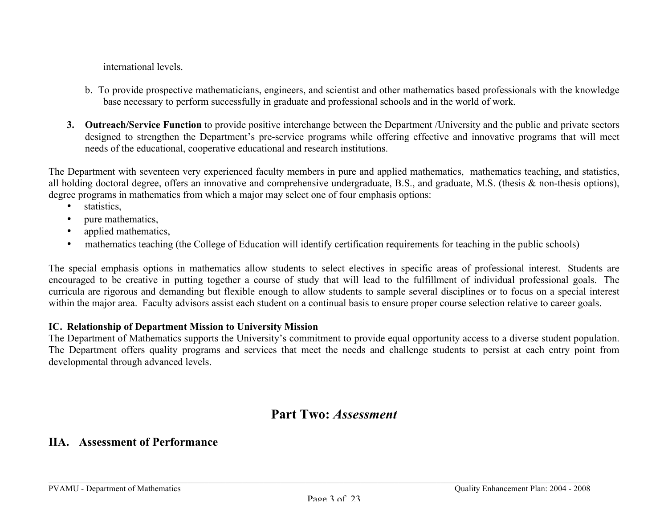international levels.

- b. To provide prospective mathematicians, engineers, and scientist and other mathematics based professionals with the knowledge base necessary to perform successfully in graduate and professional schools and in the world of work.
- **3. Outreach/Service Function** to provide positive interchange between the Department /University and the public and private sectors designed to strengthen the Department's pre-service programs while offering effective and innovative programs that will meet needs of the educational, cooperative educational and research institutions.

The Department with seventeen very experienced faculty members in pure and applied mathematics, mathematics teaching, and statistics, all holding doctoral degree, offers an innovative and comprehensive undergraduate, B.S., and graduate, M.S. (thesis & non-thesis options), degree programs in mathematics from which a major may select one of four emphasis options:

- statistics,
- pure mathematics.
- applied mathematics,
- mathematics teaching (the College of Education will identify certification requirements for teaching in the public schools)

The special emphasis options in mathematics allow students to select electives in specific areas of professional interest. Students are encouraged to be creative in putting together a course of study that will lead to the fulfillment of individual professional goals. The curricula are rigorous and demanding but flexible enough to allow students to sample several disciplines or to focus on a special interest within the major area. Faculty advisors assist each student on a continual basis to ensure proper course selection relative to career goals.

#### **IC. Relationship of Department Mission to University Mission**

The Department of Mathematics supports the University's commitment to provide equal opportunity access to a diverse student population. The Department offers quality programs and services that meet the needs and challenge students to persist at each entry point from developmental through advanced levels.

### **Part Two:** *Assessment*

### **IIA. Assessment of Performance**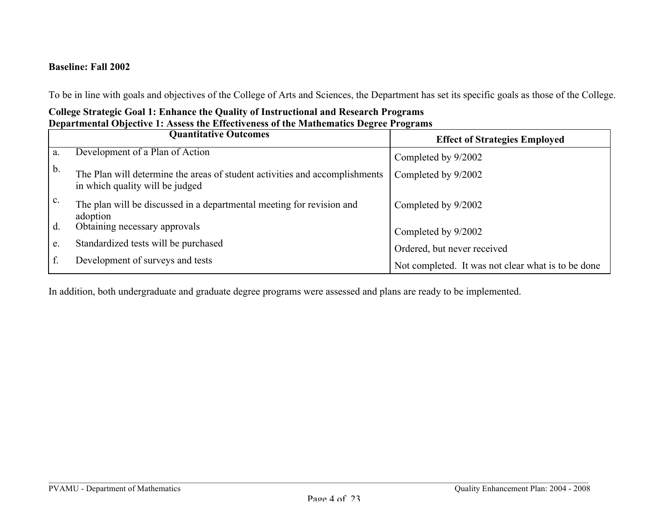#### **Baseline: Fall 2002**

To be in line with goals and objectives of the College of Arts and Sciences, the Department has set its specific goals as those of the College.

### **College Strategic Goal 1: Enhance the Quality of Instructional and Research Programs Departmental Objective 1: Assess the Effectiveness of the Mathematics Degree Programs**

|                | <b>Quantitative Outcomes</b>                                                                                   | <b>Effect of Strategies Employed</b>               |
|----------------|----------------------------------------------------------------------------------------------------------------|----------------------------------------------------|
| a.             | Development of a Plan of Action                                                                                | Completed by 9/2002                                |
| b.             | The Plan will determine the areas of student activities and accomplishments<br>in which quality will be judged | Completed by 9/2002                                |
| $\mathbf{C}$ . | The plan will be discussed in a departmental meeting for revision and<br>adoption                              | Completed by 9/2002                                |
| d.             | Obtaining necessary approvals                                                                                  | Completed by 9/2002                                |
| e.             | Standardized tests will be purchased                                                                           | Ordered, but never received                        |
|                | Development of surveys and tests                                                                               | Not completed. It was not clear what is to be done |

In addition, both undergraduate and graduate degree programs were assessed and plans are ready to be implemented.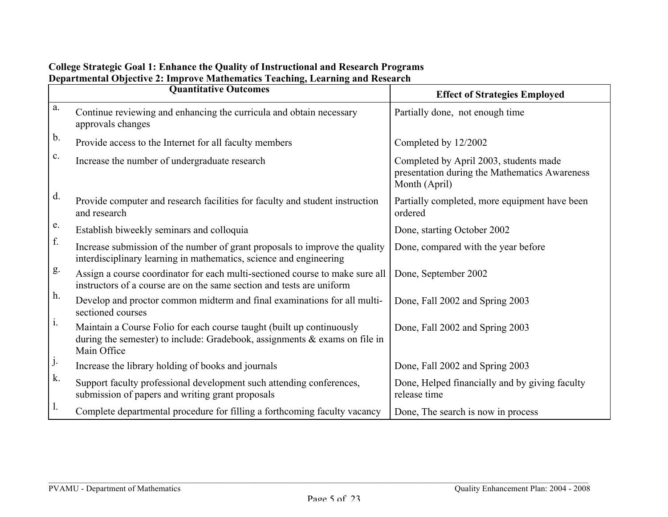|                | <b>Quantitative Outcomes</b>                                                                                                                                          | <b>Effect of Strategies Employed</b>                                                                     |  |  |  |
|----------------|-----------------------------------------------------------------------------------------------------------------------------------------------------------------------|----------------------------------------------------------------------------------------------------------|--|--|--|
| a.             | Continue reviewing and enhancing the curricula and obtain necessary<br>approvals changes                                                                              | Partially done, not enough time                                                                          |  |  |  |
| b.             | Provide access to the Internet for all faculty members                                                                                                                | Completed by 12/2002                                                                                     |  |  |  |
| $\mathbf{c}$ . | Increase the number of undergraduate research                                                                                                                         | Completed by April 2003, students made<br>presentation during the Mathematics Awareness<br>Month (April) |  |  |  |
| d.             | Provide computer and research facilities for faculty and student instruction<br>and research                                                                          | Partially completed, more equipment have been<br>ordered                                                 |  |  |  |
| e.             | Establish biweekly seminars and colloquia                                                                                                                             | Done, starting October 2002                                                                              |  |  |  |
| f.             | Increase submission of the number of grant proposals to improve the quality<br>interdisciplinary learning in mathematics, science and engineering                     | Done, compared with the year before                                                                      |  |  |  |
| g.             | Assign a course coordinator for each multi-sectioned course to make sure all<br>instructors of a course are on the same section and tests are uniform                 | Done, September 2002                                                                                     |  |  |  |
| h.             | Develop and proctor common midterm and final examinations for all multi-<br>sectioned courses                                                                         | Done, Fall 2002 and Spring 2003                                                                          |  |  |  |
| $\mathbf{1}$ . | Maintain a Course Folio for each course taught (built up continuously<br>during the semester) to include: Gradebook, assignments $\&$ exams on file in<br>Main Office | Done, Fall 2002 and Spring 2003                                                                          |  |  |  |
| j.             | Increase the library holding of books and journals                                                                                                                    | Done, Fall 2002 and Spring 2003                                                                          |  |  |  |
| k.             | Support faculty professional development such attending conferences,<br>submission of papers and writing grant proposals                                              | Done, Helped financially and by giving faculty<br>release time                                           |  |  |  |
| Ι.             | Complete departmental procedure for filling a forthcoming faculty vacancy                                                                                             | Done, The search is now in process                                                                       |  |  |  |

#### **College Strategic Goal 1: Enhance the Quality of Instructional and Research Programs Departmental Objective 2: Improve Mathematics Teaching, Learning and Research**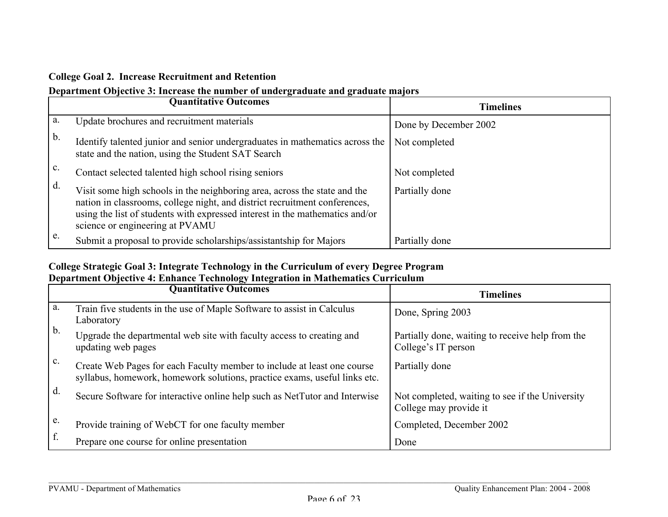#### **College Goal 2. Increase Recruitment and Retention**

### **Department Objective 3: Increase the number of undergraduate and graduate majors**

|                | <b>Quantitative Outcomes</b>                                                                                                                                                                                                                                               | <b>Timelines</b>      |
|----------------|----------------------------------------------------------------------------------------------------------------------------------------------------------------------------------------------------------------------------------------------------------------------------|-----------------------|
| a.             | Update brochures and recruitment materials                                                                                                                                                                                                                                 | Done by December 2002 |
| b.             | Identify talented junior and senior undergraduates in mathematics across the<br>state and the nation, using the Student SAT Search                                                                                                                                         | Not completed         |
| $\mathbf{c}$ . | Contact selected talented high school rising seniors                                                                                                                                                                                                                       | Not completed         |
| d.             | Visit some high schools in the neighboring area, across the state and the<br>nation in classrooms, college night, and district recruitment conferences,<br>using the list of students with expressed interest in the mathematics and/or<br>science or engineering at PVAMU | Partially done        |
| e.             | Submit a proposal to provide scholarships/assistantship for Majors                                                                                                                                                                                                         | Partially done        |

#### **College Strategic Goal 3: Integrate Technology in the Curriculum of every Degree Program Department Objective 4: Enhance Technology Integration in Mathematics Curriculum**

|                | <b>Quantitative Outcomes</b>                                                                                                                         | <b>Timelines</b>                                                          |
|----------------|------------------------------------------------------------------------------------------------------------------------------------------------------|---------------------------------------------------------------------------|
| a.             | Train five students in the use of Maple Software to assist in Calculus<br>Laboratory                                                                 | Done, Spring 2003                                                         |
| $\mathbf{b}$ . | Upgrade the departmental web site with faculty access to creating and<br>updating web pages                                                          | Partially done, waiting to receive help from the<br>College's IT person   |
| $\mathbf{c}$ . | Create Web Pages for each Faculty member to include at least one course<br>syllabus, homework, homework solutions, practice exams, useful links etc. | Partially done                                                            |
| d.             | Secure Software for interactive online help such as NetTutor and Interwise                                                                           | Not completed, waiting to see if the University<br>College may provide it |
| e.             | Provide training of WebCT for one faculty member                                                                                                     | Completed, December 2002                                                  |
| f.             | Prepare one course for online presentation                                                                                                           | Done                                                                      |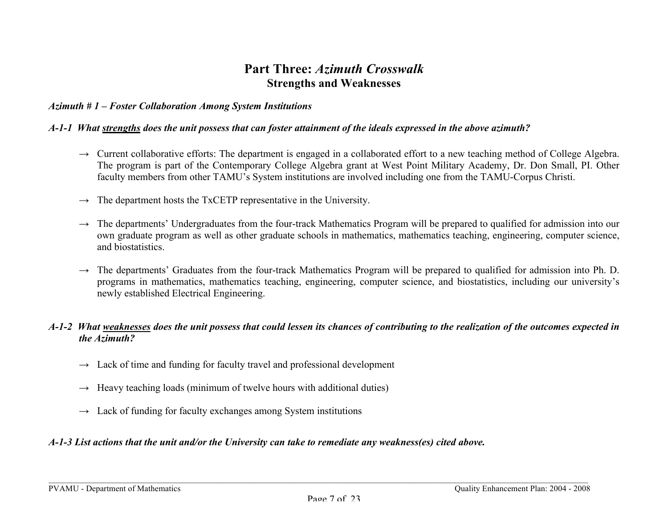### **Part Three:** *Azimuth Crosswalk* **Strengths and Weaknesses**

#### *Azimuth # 1 – Foster Collaboration Among System Institutions*

#### *A-1-1 What strengths does the unit possess that can foster attainment of the ideals expressed in the above azimuth?*

- $\rightarrow$  Current collaborative efforts: The department is engaged in a collaborated effort to a new teaching method of College Algebra. The program is part of the Contemporary College Algebra grant at West Point Military Academy, Dr. Don Small, PI. Other faculty members from other TAMU's System institutions are involved including one from the TAMU-Corpus Christi.
- $\rightarrow$  The department hosts the TxCETP representative in the University.
- $\rightarrow$  The departments' Undergraduates from the four-track Mathematics Program will be prepared to qualified for admission into our own graduate program as well as other graduate schools in mathematics, mathematics teaching, engineering, computer science, and biostatistics.
- $\rightarrow$  The departments' Graduates from the four-track Mathematics Program will be prepared to qualified for admission into Ph. D. programs in mathematics, mathematics teaching, engineering, computer science, and biostatistics, including our university's newly established Electrical Engineering.

#### *A-1-2 What weaknesses does the unit possess that could lessen its chances of contributing to the realization of the outcomes expected in the Azimuth?*

- $\rightarrow$  Lack of time and funding for faculty travel and professional development
- $\rightarrow$  Heavy teaching loads (minimum of twelve hours with additional duties)
- $\rightarrow$  Lack of funding for faculty exchanges among System institutions

#### *A-1-3 List actions that the unit and/or the University can take to remediate any weakness(es) cited above.*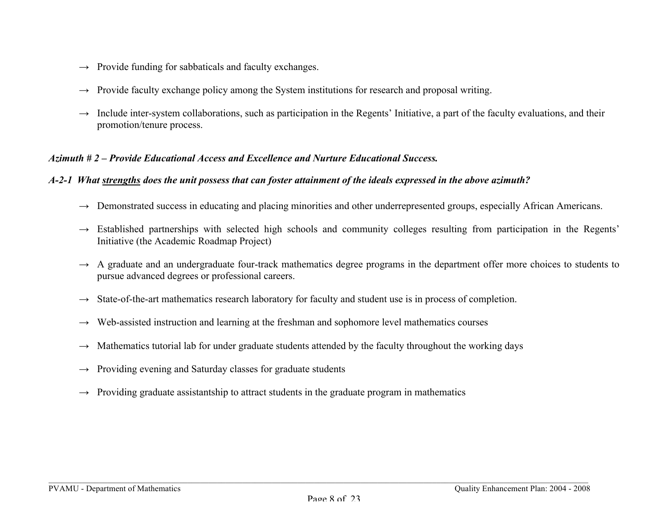- $\rightarrow$  Provide funding for sabbaticals and faculty exchanges.
- $\rightarrow$  Provide faculty exchange policy among the System institutions for research and proposal writing.
- Include inter-system collaborations, such as participation in the Regents' Initiative, a part of the faculty evaluations, and their promotion/tenure process.

#### *Azimuth # 2 – Provide Educational Access and Excellence and Nurture Educational Success.*

#### *A-2-1 What strengths does the unit possess that can foster attainment of the ideals expressed in the above azimuth?*

- $\rightarrow$  Demonstrated success in educating and placing minorities and other underrepresented groups, especially African Americans.
- $\rightarrow$  Established partnerships with selected high schools and community colleges resulting from participation in the Regents' Initiative (the Academic Roadmap Project)
- $\rightarrow$  A graduate and an undergraduate four-track mathematics degree programs in the department offer more choices to students to pursue advanced degrees or professional careers.
- $\rightarrow$  State-of-the-art mathematics research laboratory for faculty and student use is in process of completion.
- $\rightarrow$  Web-assisted instruction and learning at the freshman and sophomore level mathematics courses
- $\rightarrow$  Mathematics tutorial lab for under graduate students attended by the faculty throughout the working days
- $\rightarrow$  Providing evening and Saturday classes for graduate students
- $\rightarrow$  Providing graduate assistantship to attract students in the graduate program in mathematics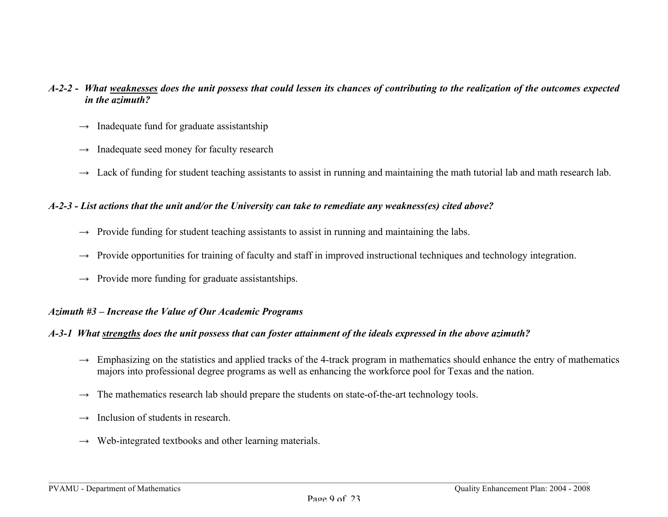#### *A-2-2 - What weaknesses does the unit possess that could lessen its chances of contributing to the realization of the outcomes expected in the azimuth?*

- *→* Inadequate fund for graduate assistantship
- *→* Inadequate seed money for faculty research
- *→* Lack of funding for student teaching assistants to assist in running and maintaining the math tutorial lab and math research lab.

#### *A-2-3 - List actions that the unit and/or the University can take to remediate any weakness(es) cited above?*

- *→* Provide funding for student teaching assistants to assist in running and maintaining the labs.
- $\rightarrow$  Provide opportunities for training of faculty and staff in improved instructional techniques and technology integration.
- *→* Provide more funding for graduate assistantships.

#### *Azimuth #3 – Increase the Value of Our Academic Programs*

#### *A-3-1 What strengths does the unit possess that can foster attainment of the ideals expressed in the above azimuth?*

- $\rightarrow$  Emphasizing on the statistics and applied tracks of the 4-track program in mathematics should enhance the entry of mathematics majors into professional degree programs as well as enhancing the workforce pool for Texas and the nation.
- $\rightarrow$  The mathematics research lab should prepare the students on state-of-the-art technology tools.
- $\rightarrow$  Inclusion of students in research.
- $\rightarrow$  Web-integrated textbooks and other learning materials.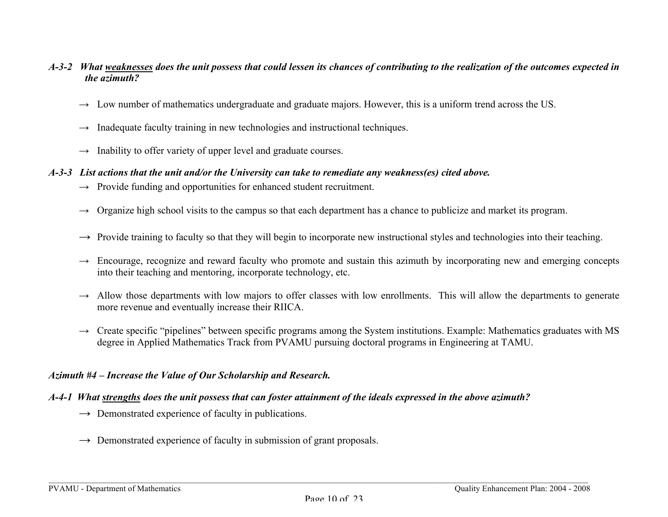#### *A-3-2 What weaknesses does the unit possess that could lessen its chances of contributing to the realization of the outcomes expected in the azimuth?*

- *→* Low number of mathematics undergraduate and graduate majors. However, this is a uniform trend across the US.
- $\rightarrow$  Inadequate faculty training in new technologies and instructional techniques.
- $\rightarrow$  Inability to offer variety of upper level and graduate courses.

#### *A-3-3 List actions that the unit and/or the University can take to remediate any weakness(es) cited above.*

- → Provide funding and opportunities for enhanced student recruitment.
- $\rightarrow$  Organize high school visits to the campus so that each department has a chance to publicize and market its program.
- → Provide training to faculty so that they will begin to incorporate new instructional styles and technologies into their teaching.
- $\rightarrow$  Encourage, recognize and reward faculty who promote and sustain this azimuth by incorporating new and emerging concepts into their teaching and mentoring, incorporate technology, etc.
- $\rightarrow$  Allow those departments with low majors to offer classes with low enrollments. This will allow the departments to generate more revenue and eventually increase their RIICA.
- $\rightarrow$  Create specific "pipelines" between specific programs among the System institutions. Example: Mathematics graduates with MS degree in Applied Mathematics Track from PVAMU pursuing doctoral programs in Engineering at TAMU.

#### *Azimuth #4 – Increase the Value of Our Scholarship and Research.*

#### *A-4-1 What strengths does the unit possess that can foster attainment of the ideals expressed in the above azimuth?*

- *→* Demonstrated experience of faculty in publications.
- *→* Demonstrated experience of faculty in submission of grant proposals.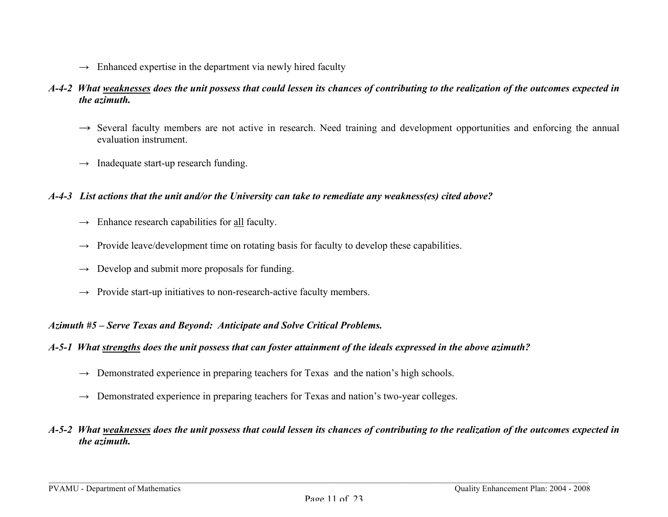$\rightarrow$  Enhanced expertise in the department via newly hired faculty

#### *A-4-2 What weaknesses does the unit possess that could lessen its chances of contributing to the realization of the outcomes expected in the azimuth.*

- → Several faculty members are not active in research. Need training and development opportunities and enforcing the annual evaluation instrument.
- $\rightarrow$  Inadequate start-up research funding.

#### *A-4-3 List actions that the unit and/or the University can take to remediate any weakness(es) cited above?*

- **→** Enhance research capabilities for all faculty.
- $\rightarrow$  Provide leave/development time on rotating basis for faculty to develop these capabilities.
- $\rightarrow$  Develop and submit more proposals for funding.
- $\rightarrow$  Provide start-up initiatives to non-research-active faculty members.

#### *Azimuth #5 – Serve Texas and Beyond: Anticipate and Solve Critical Problems.*

- *A-5-1 What strengths does the unit possess that can foster attainment of the ideals expressed in the above azimuth?*
	- *→* Demonstrated experience in preparing teachers for Texas and the nation's high schools.
	- *→* Demonstrated experience in preparing teachers for Texas and nation's two-year colleges.

#### *A-5-2 What weaknesses does the unit possess that could lessen its chances of contributing to the realization of the outcomes expected in the azimuth.*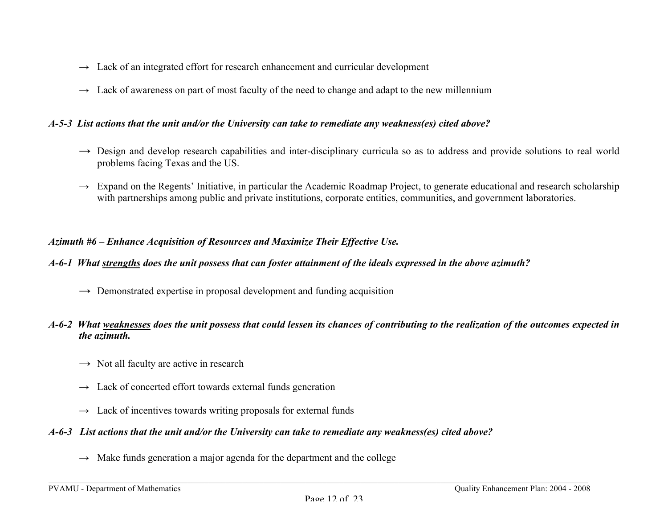- $\rightarrow$  Lack of an integrated effort for research enhancement and curricular development
- $\rightarrow$  Lack of awareness on part of most faculty of the need to change and adapt to the new millennium

#### *A-5-3 List actions that the unit and/or the University can take to remediate any weakness(es) cited above?*

- → Design and develop research capabilities and inter-disciplinary curricula so as to address and provide solutions to real world problems facing Texas and the US.
- $\rightarrow$  Expand on the Regents' Initiative, in particular the Academic Roadmap Project, to generate educational and research scholarship with partnerships among public and private institutions, corporate entities, communities, and government laboratories.

#### *Azimuth #6 – Enhance Acquisition of Resources and Maximize Their Effective Use.*

#### *A-6-1 What strengths does the unit possess that can foster attainment of the ideals expressed in the above azimuth?*

*→* Demonstrated expertise in proposal development and funding acquisition

#### *A-6-2 What weaknesses does the unit possess that could lessen its chances of contributing to the realization of the outcomes expected in the azimuth.*

- *→* Not all faculty are active in research
- $\rightarrow$  Lack of concerted effort towards external funds generation
- $\rightarrow$  Lack of incentives towards writing proposals for external funds

#### *A-6-3 List actions that the unit and/or the University can take to remediate any weakness(es) cited above?*

 $\rightarrow$  Make funds generation a major agenda for the department and the college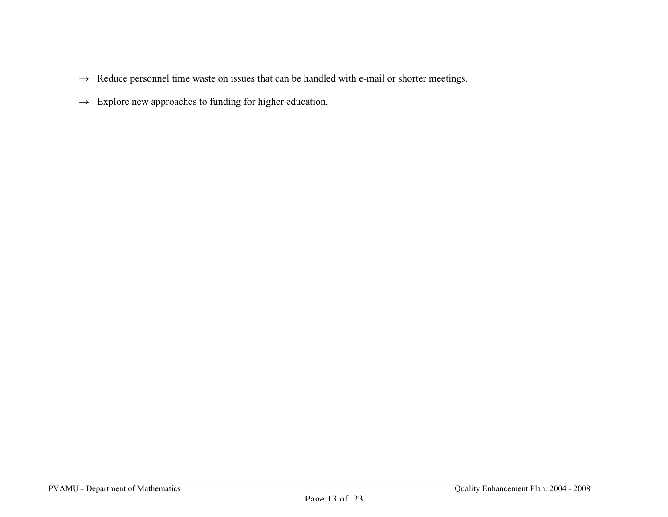- $\rightarrow$  Reduce personnel time waste on issues that can be handled with e-mail or shorter meetings.
- $\rightarrow$  Explore new approaches to funding for higher education.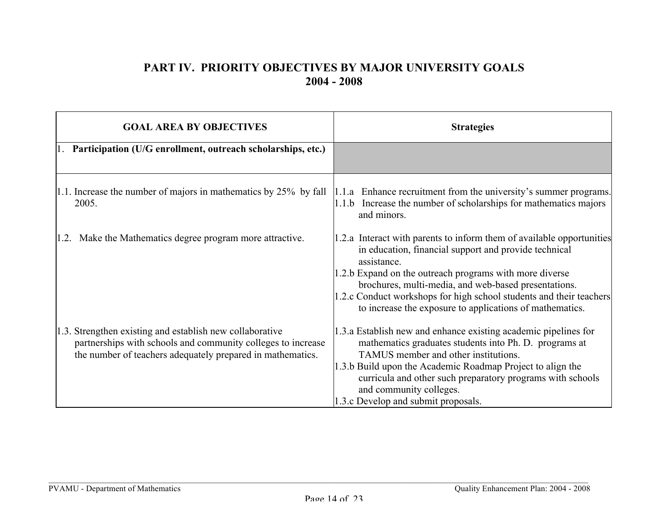### **PART IV. PRIORITY OBJECTIVES BY MAJOR UNIVERSITY GOALS 2004 - 2008**

| <b>GOAL AREA BY OBJECTIVES</b>                                                                                                                                                         | <b>Strategies</b>                                                                                                                                                                                                                                                                                                                                                                                   |
|----------------------------------------------------------------------------------------------------------------------------------------------------------------------------------------|-----------------------------------------------------------------------------------------------------------------------------------------------------------------------------------------------------------------------------------------------------------------------------------------------------------------------------------------------------------------------------------------------------|
| 1. Participation (U/G enrollment, outreach scholarships, etc.)                                                                                                                         |                                                                                                                                                                                                                                                                                                                                                                                                     |
| $ 1.1$ . Increase the number of majors in mathematics by 25% by fall<br>2005.                                                                                                          | 1.1.a Enhance recruitment from the university's summer programs.<br>$ 1.1.$ b Increase the number of scholarships for mathematics majors<br>and minors.                                                                                                                                                                                                                                             |
| 1.2. Make the Mathematics degree program more attractive.                                                                                                                              | 1.2.a Interact with parents to inform them of available opportunities<br>in education, financial support and provide technical<br>assistance.<br>1.2.b Expand on the outreach programs with more diverse<br>brochures, multi-media, and web-based presentations.<br>1.2.c Conduct workshops for high school students and their teachers<br>to increase the exposure to applications of mathematics. |
| 1.3. Strengthen existing and establish new collaborative<br>partnerships with schools and community colleges to increase<br>the number of teachers adequately prepared in mathematics. | 1.3.a Establish new and enhance existing academic pipelines for<br>mathematics graduates students into Ph. D. programs at<br>TAMUS member and other institutions.<br>1.3.b Build upon the Academic Roadmap Project to align the<br>curricula and other such preparatory programs with schools<br>and community colleges.<br>1.3.c Develop and submit proposals.                                     |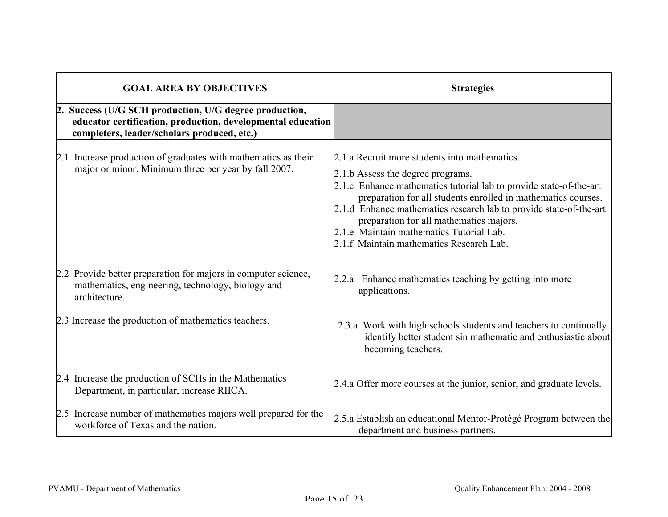| <b>GOAL AREA BY OBJECTIVES</b>                                                                                                                                       | <b>Strategies</b>                                                                                                                                                                                                                                                                                                                                                                                                                  |  |  |  |
|----------------------------------------------------------------------------------------------------------------------------------------------------------------------|------------------------------------------------------------------------------------------------------------------------------------------------------------------------------------------------------------------------------------------------------------------------------------------------------------------------------------------------------------------------------------------------------------------------------------|--|--|--|
| 2. Success (U/G SCH production, U/G degree production,<br>educator certification, production, developmental education<br>completers, leader/scholars produced, etc.) |                                                                                                                                                                                                                                                                                                                                                                                                                                    |  |  |  |
| 2.1 Increase production of graduates with mathematics as their<br>major or minor. Minimum three per year by fall 2007.                                               | 2.1.a Recruit more students into mathematics.<br>2.1.b Assess the degree programs.<br>2.1.c Enhance mathematics tutorial lab to provide state-of-the-art<br>preparation for all students enrolled in mathematics courses.<br>2.1.d Enhance mathematics research lab to provide state-of-the-art<br>preparation for all mathematics majors.<br>2.1.e Maintain mathematics Tutorial Lab.<br>2.1.f Maintain mathematics Research Lab. |  |  |  |
| 2.2 Provide better preparation for majors in computer science,<br>mathematics, engineering, technology, biology and<br>architecture.                                 | 2.2.a Enhance mathematics teaching by getting into more<br>applications.                                                                                                                                                                                                                                                                                                                                                           |  |  |  |
| 2.3 Increase the production of mathematics teachers.                                                                                                                 | 2.3.a Work with high schools students and teachers to continually<br>identify better student sin mathematic and enthusiastic about<br>becoming teachers.                                                                                                                                                                                                                                                                           |  |  |  |
| 2.4 Increase the production of SCHs in the Mathematics<br>Department, in particular, increase RIICA.                                                                 | 2.4.a Offer more courses at the junior, senior, and graduate levels.                                                                                                                                                                                                                                                                                                                                                               |  |  |  |
| 2.5 Increase number of mathematics majors well prepared for the<br>workforce of Texas and the nation.                                                                | 2.5.a Establish an educational Mentor-Protégé Program between the<br>department and business partners.                                                                                                                                                                                                                                                                                                                             |  |  |  |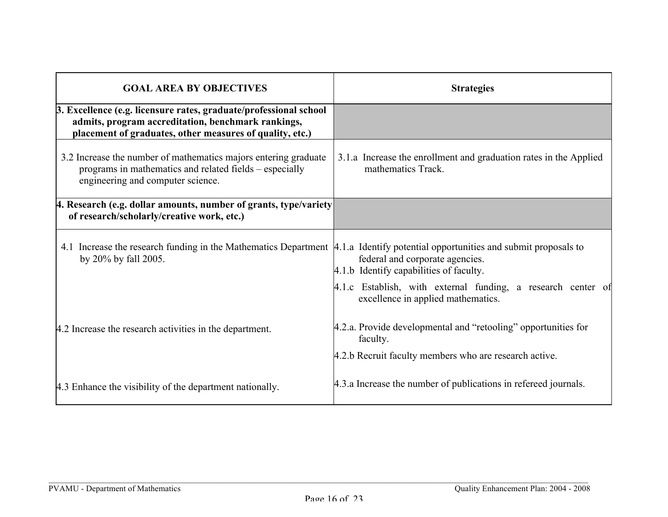| <b>GOAL AREA BY OBJECTIVES</b>                                                                                                                                                      | <b>Strategies</b>                                                                                  |  |  |  |  |  |
|-------------------------------------------------------------------------------------------------------------------------------------------------------------------------------------|----------------------------------------------------------------------------------------------------|--|--|--|--|--|
| 3. Excellence (e.g. licensure rates, graduate/professional school<br>admits, program accreditation, benchmark rankings,<br>placement of graduates, other measures of quality, etc.) |                                                                                                    |  |  |  |  |  |
| 3.2 Increase the number of mathematics majors entering graduate<br>programs in mathematics and related fields – especially<br>engineering and computer science.                     | 3.1.a Increase the enrollment and graduation rates in the Applied<br>mathematics Track.            |  |  |  |  |  |
| 4. Research (e.g. dollar amounts, number of grants, type/variety<br>of research/scholarly/creative work, etc.)                                                                      |                                                                                                    |  |  |  |  |  |
| 4.1 Increase the research funding in the Mathematics Department   4.1.a Identify potential opportunities and submit proposals to<br>by 20% by fall 2005.                            | federal and corporate agencies.<br>4.1.b Identify capabilities of faculty.                         |  |  |  |  |  |
|                                                                                                                                                                                     | 4.1.c Establish, with external funding, a research center of<br>excellence in applied mathematics. |  |  |  |  |  |
| 4.2 Increase the research activities in the department.                                                                                                                             | 4.2.a. Provide developmental and "retooling" opportunities for<br>faculty.                         |  |  |  |  |  |
|                                                                                                                                                                                     | 4.2.b Recruit faculty members who are research active.                                             |  |  |  |  |  |
| 4.3 Enhance the visibility of the department nationally.                                                                                                                            | 4.3.a Increase the number of publications in refereed journals.                                    |  |  |  |  |  |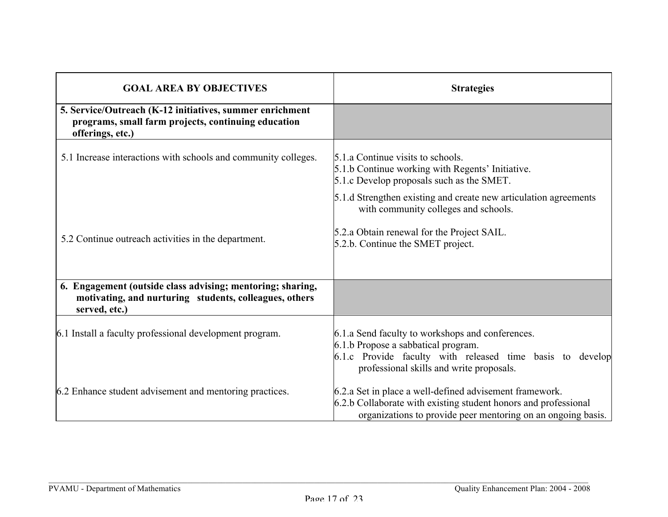| <b>GOAL AREA BY OBJECTIVES</b>                                                                                                        | <b>Strategies</b>                                                                                                                                                                                |  |  |  |  |
|---------------------------------------------------------------------------------------------------------------------------------------|--------------------------------------------------------------------------------------------------------------------------------------------------------------------------------------------------|--|--|--|--|
| 5. Service/Outreach (K-12 initiatives, summer enrichment<br>programs, small farm projects, continuing education<br>offerings, etc.)   |                                                                                                                                                                                                  |  |  |  |  |
| 5.1 Increase interactions with schools and community colleges.                                                                        | 5.1.a Continue visits to schools.<br>5.1.b Continue working with Regents' Initiative.<br>5.1.c Develop proposals such as the SMET.                                                               |  |  |  |  |
|                                                                                                                                       | 5.1.d Strengthen existing and create new articulation agreements<br>with community colleges and schools.                                                                                         |  |  |  |  |
| 5.2 Continue outreach activities in the department.                                                                                   | 5.2.a Obtain renewal for the Project SAIL.<br>5.2.b. Continue the SMET project.                                                                                                                  |  |  |  |  |
| 6. Engagement (outside class advising; mentoring; sharing,<br>motivating, and nurturing students, colleagues, others<br>served, etc.) |                                                                                                                                                                                                  |  |  |  |  |
| 6.1 Install a faculty professional development program.                                                                               | 6.1.a Send faculty to workshops and conferences.<br>6.1.b Propose a sabbatical program.<br>6.1.c Provide faculty with released time basis to develop<br>professional skills and write proposals. |  |  |  |  |
| 6.2 Enhance student advisement and mentoring practices.                                                                               | 6.2.a Set in place a well-defined advisement framework.<br>6.2.b Collaborate with existing student honors and professional<br>organizations to provide peer mentoring on an ongoing basis.       |  |  |  |  |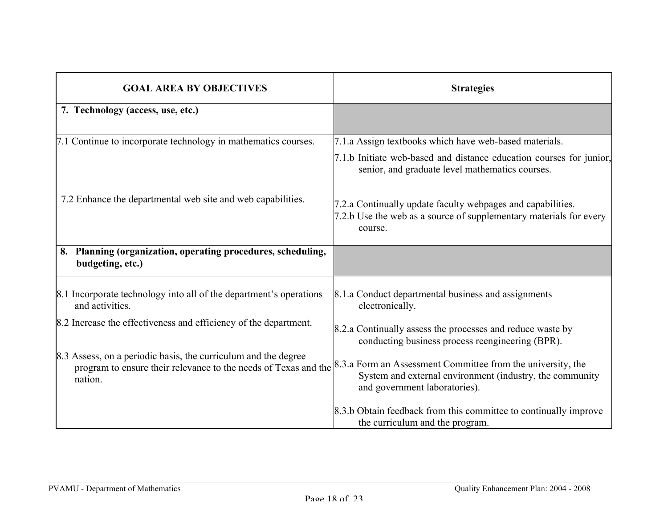| <b>GOAL AREA BY OBJECTIVES</b>                                                                                                               | <b>Strategies</b>                                                                                                                                        |
|----------------------------------------------------------------------------------------------------------------------------------------------|----------------------------------------------------------------------------------------------------------------------------------------------------------|
| 7. Technology (access, use, etc.)                                                                                                            |                                                                                                                                                          |
| 7.1 Continue to incorporate technology in mathematics courses.                                                                               | 7.1.a Assign textbooks which have web-based materials.                                                                                                   |
|                                                                                                                                              | 7.1.b Initiate web-based and distance education courses for junior,<br>senior, and graduate level mathematics courses.                                   |
| 7.2 Enhance the departmental web site and web capabilities.                                                                                  | 7.2.a Continually update faculty webpages and capabilities.<br>7.2.b Use the web as a source of supplementary materials for every<br>course.             |
| 8. Planning (organization, operating procedures, scheduling,<br>budgeting, etc.)                                                             |                                                                                                                                                          |
| 8.1 Incorporate technology into all of the department's operations<br>and activities.                                                        | 8.1.a Conduct departmental business and assignments<br>electronically.                                                                                   |
| 8.2 Increase the effectiveness and efficiency of the department.                                                                             | 8.2.a Continually assess the processes and reduce waste by<br>conducting business process reengineering (BPR).                                           |
| 8.3 Assess, on a periodic basis, the curriculum and the degree<br>program to ensure their relevance to the needs of Texas and the<br>nation. | 8.3.a Form an Assessment Committee from the university, the<br>System and external environment (industry, the community<br>and government laboratories). |
|                                                                                                                                              | 8.3.b Obtain feedback from this committee to continually improve<br>the curriculum and the program.                                                      |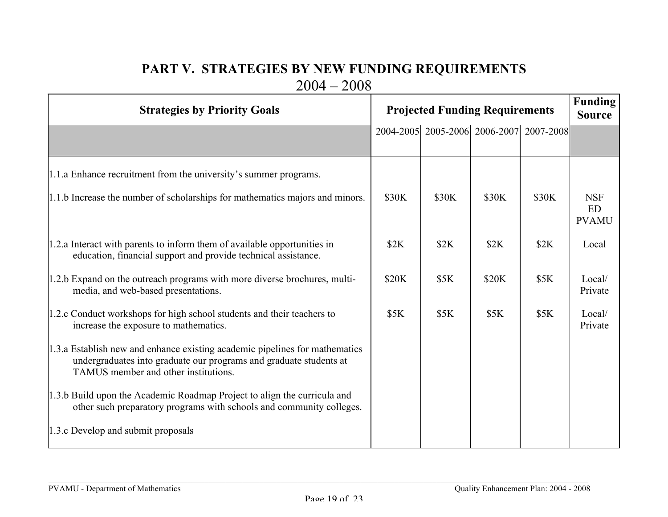## **PART V. STRATEGIES BY NEW FUNDING REQUIREMENTS** 2004 – 2008

| <b>Strategies by Priority Goals</b>                                                                                                                                                       | <b>Projected Funding Requirements</b> |                               |       |             | <b>Funding</b><br><b>Source</b>  |
|-------------------------------------------------------------------------------------------------------------------------------------------------------------------------------------------|---------------------------------------|-------------------------------|-------|-------------|----------------------------------|
|                                                                                                                                                                                           |                                       | 2004-2005 2005-2006 2006-2007 |       | 2007-2008   |                                  |
| 1.1.a Enhance recruitment from the university's summer programs.<br>1.1.b Increase the number of scholarships for mathematics majors and minors.                                          | \$30K                                 | \$30K                         | \$30K | \$30K       | <b>NSF</b><br>ED<br><b>PVAMU</b> |
| 1.2.a Interact with parents to inform them of available opportunities in<br>education, financial support and provide technical assistance.                                                | \$2K                                  | \$2K                          | \$2K  | \$2K        | Local                            |
| 1.2.b Expand on the outreach programs with more diverse brochures, multi-<br>media, and web-based presentations.                                                                          | \$20K                                 | \$5K                          | \$20K | \$5K        | Local/<br>Private                |
| 1.2.c Conduct workshops for high school students and their teachers to<br>increase the exposure to mathematics.                                                                           | <b>\$5K</b>                           | \$5K                          | \$5K  | <b>\$5K</b> | Local/<br>Private                |
| 1.3.a Establish new and enhance existing academic pipelines for mathematics<br>undergraduates into graduate our programs and graduate students at<br>TAMUS member and other institutions. |                                       |                               |       |             |                                  |
| 1.3.b Build upon the Academic Roadmap Project to align the curricula and<br>other such preparatory programs with schools and community colleges.                                          |                                       |                               |       |             |                                  |
| 1.3.c Develop and submit proposals                                                                                                                                                        |                                       |                               |       |             |                                  |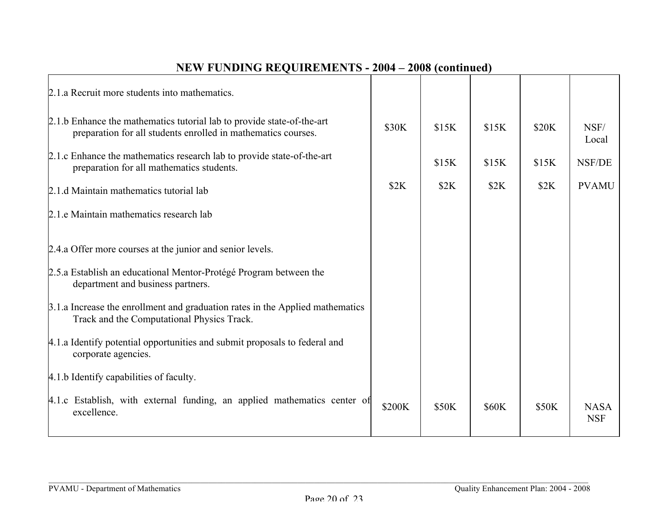| \$30K  | \$15K                                                                    | \$15K        | \$20K | NSF/<br>Local             |
|--------|--------------------------------------------------------------------------|--------------|-------|---------------------------|
|        | \$15K                                                                    | \$15K        | \$15K | <b>NSF/DE</b>             |
| \$2K   | \$2K                                                                     | \$2K         | \$2K  | <b>PVAMU</b>              |
|        |                                                                          |              |       |                           |
|        |                                                                          |              |       |                           |
|        |                                                                          |              |       |                           |
|        |                                                                          |              |       |                           |
|        |                                                                          |              |       |                           |
|        |                                                                          |              |       |                           |
| \$200K | \$50K                                                                    | <b>\$60K</b> | \$50K | <b>NASA</b><br><b>NSF</b> |
|        | 4.1.c Establish, with external funding, an applied mathematics center of |              |       |                           |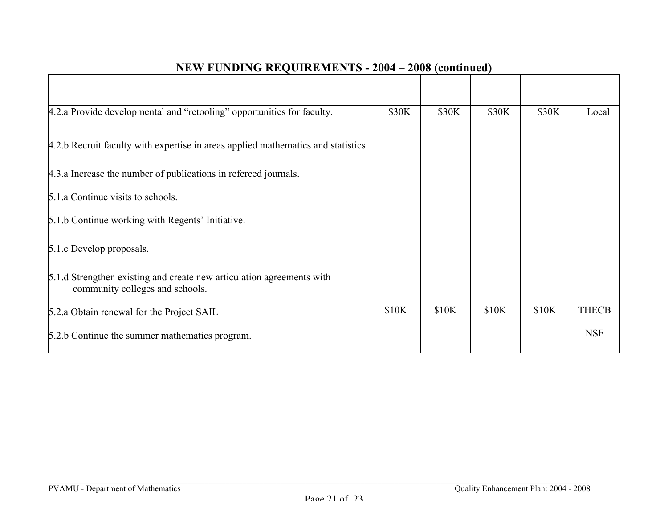| 4.2.a Provide developmental and "retooling" opportunities for faculty.                                   | \$30K | \$30K | \$30K | \$30K | Local        |
|----------------------------------------------------------------------------------------------------------|-------|-------|-------|-------|--------------|
| 4.2.b Recruit faculty with expertise in areas applied mathematics and statistics.                        |       |       |       |       |              |
| 4.3.a Increase the number of publications in refereed journals.                                          |       |       |       |       |              |
| 5.1.a Continue visits to schools.                                                                        |       |       |       |       |              |
| 5.1.b Continue working with Regents' Initiative.                                                         |       |       |       |       |              |
| 5.1. C Develop proposals.                                                                                |       |       |       |       |              |
| 5.1.d Strengthen existing and create new articulation agreements with<br>community colleges and schools. |       |       |       |       |              |
| 5.2.a Obtain renewal for the Project SAIL                                                                | \$10K | \$10K | \$10K | \$10K | <b>THECB</b> |
| 5.2.b Continue the summer mathematics program.                                                           |       |       |       |       | <b>NSF</b>   |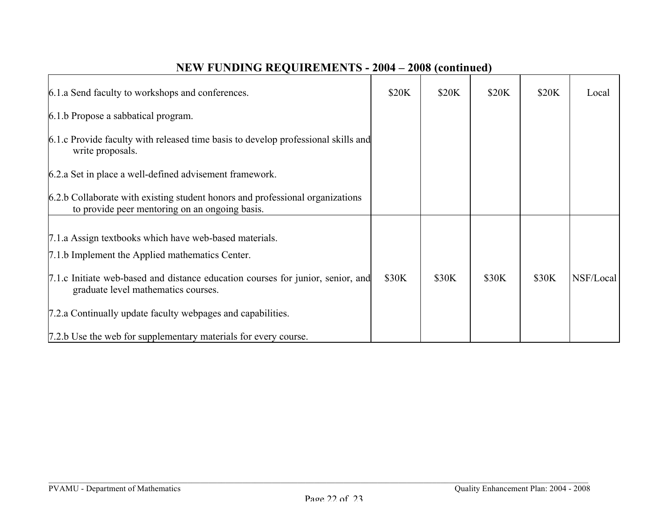| 6.1.a Send faculty to workshops and conferences.                                                                                | \$20K | \$20K | \$20K | \$20K | Local     |
|---------------------------------------------------------------------------------------------------------------------------------|-------|-------|-------|-------|-----------|
| 6.1.b Propose a sabbatical program.                                                                                             |       |       |       |       |           |
| 6.1.c Provide faculty with released time basis to develop professional skills and<br>write proposals.                           |       |       |       |       |           |
| 6.2.a Set in place a well-defined advisement framework.                                                                         |       |       |       |       |           |
| 6.2.b Collaborate with existing student honors and professional organizations<br>to provide peer mentoring on an ongoing basis. |       |       |       |       |           |
|                                                                                                                                 |       |       |       |       |           |
| 7.1.a Assign textbooks which have web-based materials.                                                                          |       |       |       |       |           |
| 7.1.b Implement the Applied mathematics Center.                                                                                 |       |       |       |       |           |
| 7.1.c Initiate web-based and distance education courses for junior, senior, and<br>graduate level mathematics courses.          | \$30K | \$30K | \$30K | \$30K | NSF/Local |
| 7.2.a Continually update faculty webpages and capabilities.                                                                     |       |       |       |       |           |
| 7.2.b Use the web for supplementary materials for every course.                                                                 |       |       |       |       |           |